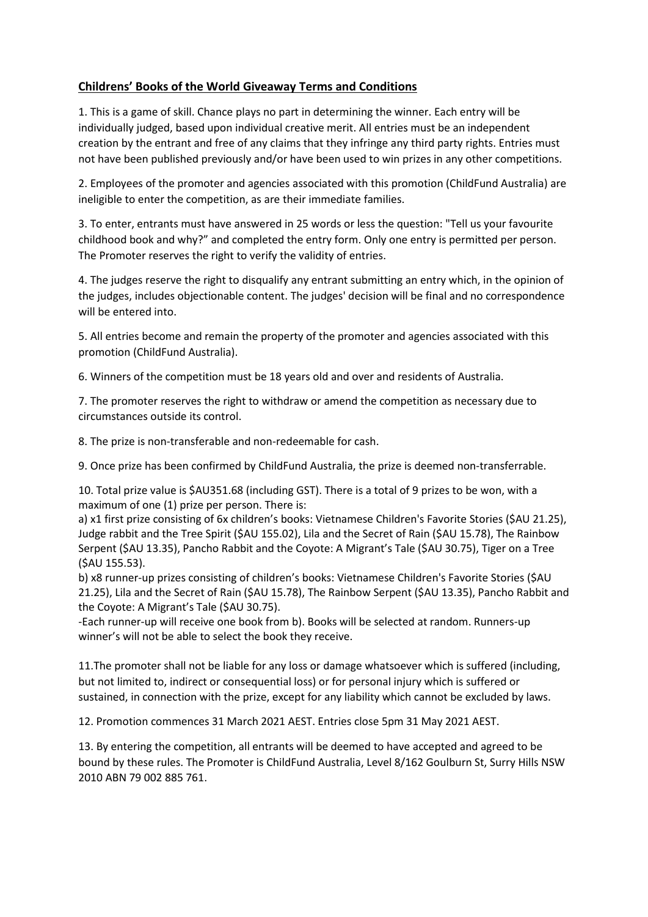## **Childrens' Books of the World Giveaway Terms and Conditions**

1. This is a game of skill. Chance plays no part in determining the winner. Each entry will be individually judged, based upon individual creative merit. All entries must be an independent creation by the entrant and free of any claims that they infringe any third party rights. Entries must not have been published previously and/or have been used to win prizes in any other competitions.

2. Employees of the promoter and agencies associated with this promotion (ChildFund Australia) are ineligible to enter the competition, as are their immediate families.

3. To enter, entrants must have answered in 25 words or less the question: "Tell us your favourite childhood book and why?" and completed the entry form. Only one entry is permitted per person. The Promoter reserves the right to verify the validity of entries.

4. The judges reserve the right to disqualify any entrant submitting an entry which, in the opinion of the judges, includes objectionable content. The judges' decision will be final and no correspondence will be entered into.

5. All entries become and remain the property of the promoter and agencies associated with this promotion (ChildFund Australia).

6. Winners of the competition must be 18 years old and over and residents of Australia.

7. The promoter reserves the right to withdraw or amend the competition as necessary due to circumstances outside its control.

8. The prize is non-transferable and non-redeemable for cash.

9. Once prize has been confirmed by ChildFund Australia, the prize is deemed non-transferrable.

10. Total prize value is \$AU351.68 (including GST). There is a total of 9 prizes to be won, with a maximum of one (1) prize per person. There is:

a) x1 first prize consisting of 6x children's books: Vietnamese Children's Favorite Stories (\$AU 21.25), Judge rabbit and the Tree Spirit (\$AU 155.02), Lila and the Secret of Rain (\$AU 15.78), The Rainbow Serpent (\$AU 13.35), Pancho Rabbit and the Coyote: A Migrant's Tale (\$AU 30.75), Tiger on a Tree (\$AU 155.53).

b) x8 runner-up prizes consisting of children's books: Vietnamese Children's Favorite Stories (\$AU 21.25), Lila and the Secret of Rain (\$AU 15.78), The Rainbow Serpent (\$AU 13.35), Pancho Rabbit and the Coyote: A Migrant's Tale (\$AU 30.75).

-Each runner-up will receive one book from b). Books will be selected at random. Runners-up winner's will not be able to select the book they receive.

11.The promoter shall not be liable for any loss or damage whatsoever which is suffered (including, but not limited to, indirect or consequential loss) or for personal injury which is suffered or sustained, in connection with the prize, except for any liability which cannot be excluded by laws.

12. Promotion commences 31 March 2021 AEST. Entries close 5pm 31 May 2021 AEST.

13. By entering the competition, all entrants will be deemed to have accepted and agreed to be bound by these rules. The Promoter is ChildFund Australia, Level 8/162 Goulburn St, Surry Hills NSW 2010 ABN 79 002 885 761.